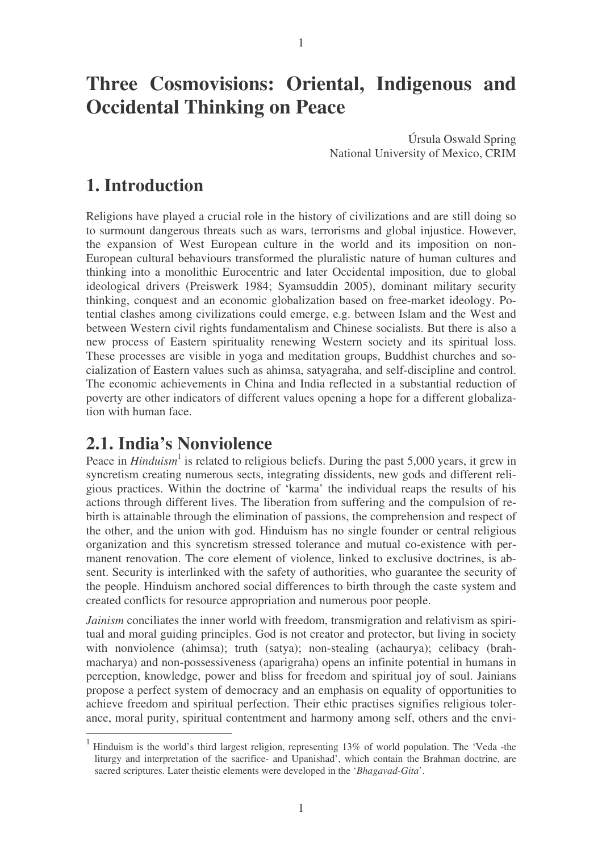# **Three Cosmovisions: Oriental, Indigenous and Occidental Thinking on Peace**

Úrsula Oswald Spring National University of Mexico, CRIM

#### **1. Introduction**

Religions have played a crucial role in the history of civilizations and are still doing so to surmount dangerous threats such as wars, terrorisms and global injustice. However, the expansion of West European culture in the world and its imposition on non-European cultural behaviours transformed the pluralistic nature of human cultures and thinking into a monolithic Eurocentric and later Occidental imposition, due to global ideological drivers (Preiswerk 1984; Syamsuddin 2005), dominant military security thinking, conquest and an economic globalization based on free-market ideology. Potential clashes among civilizations could emerge, e.g. between Islam and the West and between Western civil rights fundamentalism and Chinese socialists. But there is also a new process of Eastern spirituality renewing Western society and its spiritual loss. These processes are visible in yoga and meditation groups, Buddhist churches and socialization of Eastern values such as ahimsa, satyagraha, and self-discipline and control. The economic achievements in China and India reflected in a substantial reduction of poverty are other indicators of different values opening a hope for a different globalization with human face.

#### **2.1. India's Nonviolence**

Peace in *Hinduism*<sup>1</sup> is related to religious beliefs. During the past 5,000 years, it grew in syncretism creating numerous sects, integrating dissidents, new gods and different religious practices. Within the doctrine of 'karma' the individual reaps the results of his actions through different lives. The liberation from suffering and the compulsion of rebirth is attainable through the elimination of passions, the comprehension and respect of the other, and the union with god. Hinduism has no single founder or central religious organization and this syncretism stressed tolerance and mutual co-existence with permanent renovation. The core element of violence, linked to exclusive doctrines, is absent. Security is interlinked with the safety of authorities, who guarantee the security of the people. Hinduism anchored social differences to birth through the caste system and created conflicts for resource appropriation and numerous poor people.

*Jainism* conciliates the inner world with freedom, transmigration and relativism as spiritual and moral guiding principles. God is not creator and protector, but living in society with nonviolence (ahimsa); truth (satya); non-stealing (achaurya); celibacy (brahmacharya) and non-possessiveness (aparigraha) opens an infinite potential in humans in perception, knowledge, power and bliss for freedom and spiritual joy of soul. Jainians propose a perfect system of democracy and an emphasis on equality of opportunities to achieve freedom and spiritual perfection. Their ethic practises signifies religious tolerance, moral purity, spiritual contentment and harmony among self, others and the envi-

<sup>1</sup> Hinduism is the world's third largest religion, representing 13% of world population. The 'Veda -the liturgy and interpretation of the sacrifice- and Upanishad', which contain the Brahman doctrine, are sacred scriptures. Later theistic elements were developed in the '*Bhagavad-Gita*'.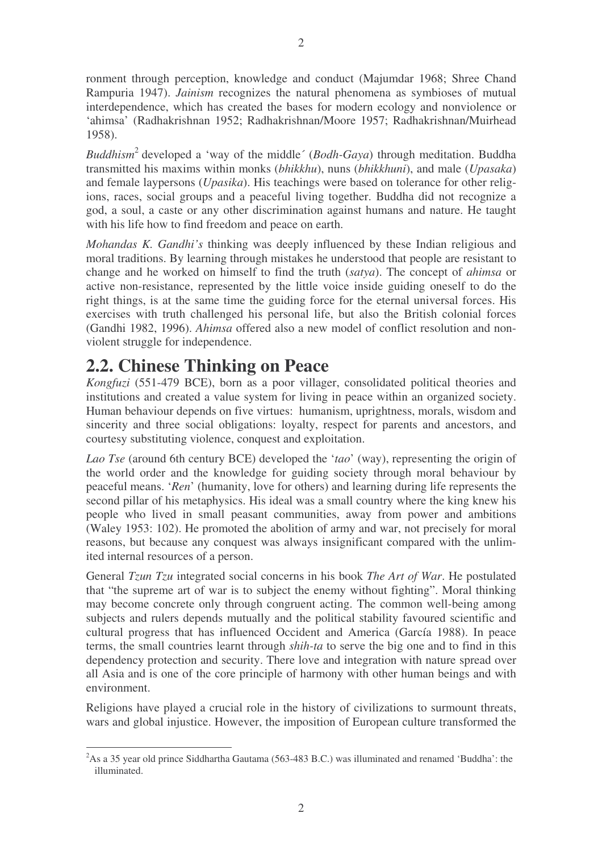ronment through perception, knowledge and conduct (Majumdar 1968; Shree Chand Rampuria 1947). *Jainism* recognizes the natural phenomena as symbioses of mutual interdependence, which has created the bases for modern ecology and nonviolence or 'ahimsa' (Radhakrishnan 1952; Radhakrishnan/Moore 1957; Radhakrishnan/Muirhead 1958).

*Buddhism* 2 developed a 'way of the middle´ (*Bodh-Gaya*) through meditation. Buddha transmitted his maxims within monks (*bhikkhu*), nuns (*bhikkhuni*), and male (*Upasaka*) and female laypersons (*Upasika*). His teachings were based on tolerance for other religions, races, social groups and a peaceful living together. Buddha did not recognize a god, a soul, a caste or any other discrimination against humans and nature. He taught with his life how to find freedom and peace on earth.

*Mohandas K. Gandhi's* thinking was deeply influenced by these Indian religious and moral traditions. By learning through mistakes he understood that people are resistant to change and he worked on himself to find the truth (*satya*). The concept of *ahimsa* or active non-resistance, represented by the little voice inside guiding oneself to do the right things, is at the same time the guiding force for the eternal universal forces. His exercises with truth challenged his personal life, but also the British colonial forces (Gandhi 1982, 1996). *Ahimsa* offered also a new model of conflict resolution and nonviolent struggle for independence.

## **2.2. Chinese Thinking on Peace**

*Kongfuzi* (551-479 BCE), born as a poor villager, consolidated political theories and institutions and created a value system for living in peace within an organized society. Human behaviour depends on five virtues: humanism, uprightness, morals, wisdom and sincerity and three social obligations: loyalty, respect for parents and ancestors, and courtesy substituting violence, conquest and exploitation.

*Lao Tse* (around 6th century BCE) developed the '*tao*' (way), representing the origin of the world order and the knowledge for guiding society through moral behaviour by peaceful means. '*Ren*' (humanity, love for others) and learning during life represents the second pillar of his metaphysics. His ideal was a small country where the king knew his people who lived in small peasant communities, away from power and ambitions (Waley 1953: 102). He promoted the abolition of army and war, not precisely for moral reasons, but because any conquest was always insignificant compared with the unlimited internal resources of a person.

General *Tzun Tzu* integrated social concerns in his book *The Art of War*. He postulated that "the supreme art of war is to subject the enemy without fighting". Moral thinking may become concrete only through congruent acting. The common well-being among subjects and rulers depends mutually and the political stability favoured scientific and cultural progress that has influenced Occident and America (García 1988). In peace terms, the small countries learnt through *shih-ta* to serve the big one and to find in this dependency protection and security. There love and integration with nature spread over all Asia and is one of the core principle of harmony with other human beings and with environment.

Religions have played a crucial role in the history of civilizations to surmount threats, wars and global injustice. However, the imposition of European culture transformed the

<sup>&</sup>lt;sup>2</sup>As a 35 year old prince Siddhartha Gautama (563-483 B.C.) was illuminated and renamed 'Buddha': the illuminated.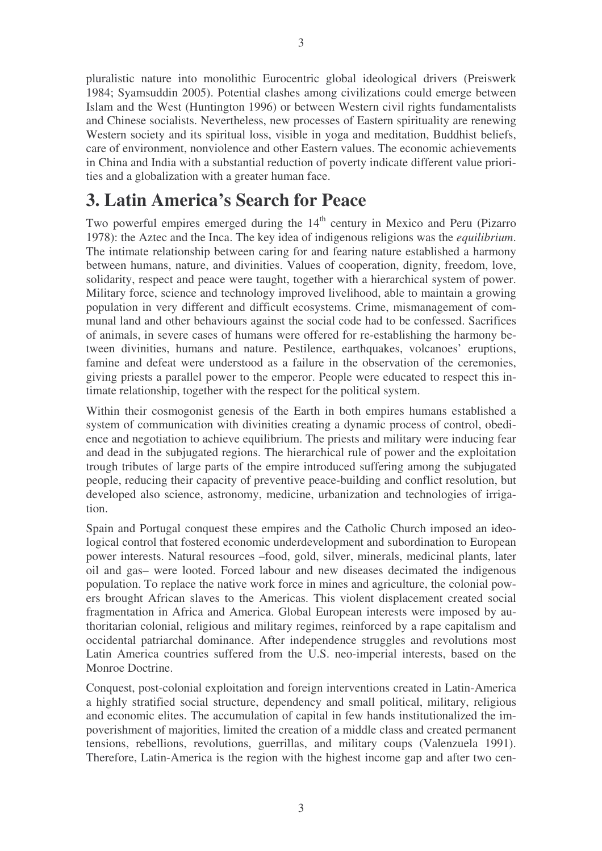pluralistic nature into monolithic Eurocentric global ideological drivers (Preiswerk 1984; Syamsuddin 2005). Potential clashes among civilizations could emerge between Islam and the West (Huntington 1996) or between Western civil rights fundamentalists and Chinese socialists. Nevertheless, new processes of Eastern spirituality are renewing Western society and its spiritual loss, visible in yoga and meditation, Buddhist beliefs, care of environment, nonviolence and other Eastern values. The economic achievements in China and India with a substantial reduction of poverty indicate different value priorities and a globalization with a greater human face.

## **3. Latin America's Search for Peace**

Two powerful empires emerged during the 14<sup>th</sup> century in Mexico and Peru (Pizarro 1978): the Aztec and the Inca. The key idea of indigenous religions was the *equilibrium*. The intimate relationship between caring for and fearing nature established a harmony between humans, nature, and divinities. Values of cooperation, dignity, freedom, love, solidarity, respect and peace were taught, together with a hierarchical system of power. Military force, science and technology improved livelihood, able to maintain a growing population in very different and difficult ecosystems. Crime, mismanagement of communal land and other behaviours against the social code had to be confessed. Sacrifices of animals, in severe cases of humans were offered for re-establishing the harmony between divinities, humans and nature. Pestilence, earthquakes, volcanoes' eruptions, famine and defeat were understood as a failure in the observation of the ceremonies, giving priests a parallel power to the emperor. People were educated to respect this intimate relationship, together with the respect for the political system.

Within their cosmogonist genesis of the Earth in both empires humans established a system of communication with divinities creating a dynamic process of control, obedience and negotiation to achieve equilibrium. The priests and military were inducing fear and dead in the subjugated regions. The hierarchical rule of power and the exploitation trough tributes of large parts of the empire introduced suffering among the subjugated people, reducing their capacity of preventive peace-building and conflict resolution, but developed also science, astronomy, medicine, urbanization and technologies of irrigation.

Spain and Portugal conquest these empires and the Catholic Church imposed an ideological control that fostered economic underdevelopment and subordination to European power interests. Natural resources –food, gold, silver, minerals, medicinal plants, later oil and gas– were looted. Forced labour and new diseases decimated the indigenous population. To replace the native work force in mines and agriculture, the colonial powers brought African slaves to the Americas. This violent displacement created social fragmentation in Africa and America. Global European interests were imposed by authoritarian colonial, religious and military regimes, reinforced by a rape capitalism and occidental patriarchal dominance. After independence struggles and revolutions most Latin America countries suffered from the U.S. neo-imperial interests, based on the Monroe Doctrine.

Conquest, post-colonial exploitation and foreign interventions created in Latin-America a highly stratified social structure, dependency and small political, military, religious and economic elites. The accumulation of capital in few hands institutionalized the impoverishment of majorities, limited the creation of a middle class and created permanent tensions, rebellions, revolutions, guerrillas, and military coups (Valenzuela 1991). Therefore, Latin-America is the region with the highest income gap and after two cen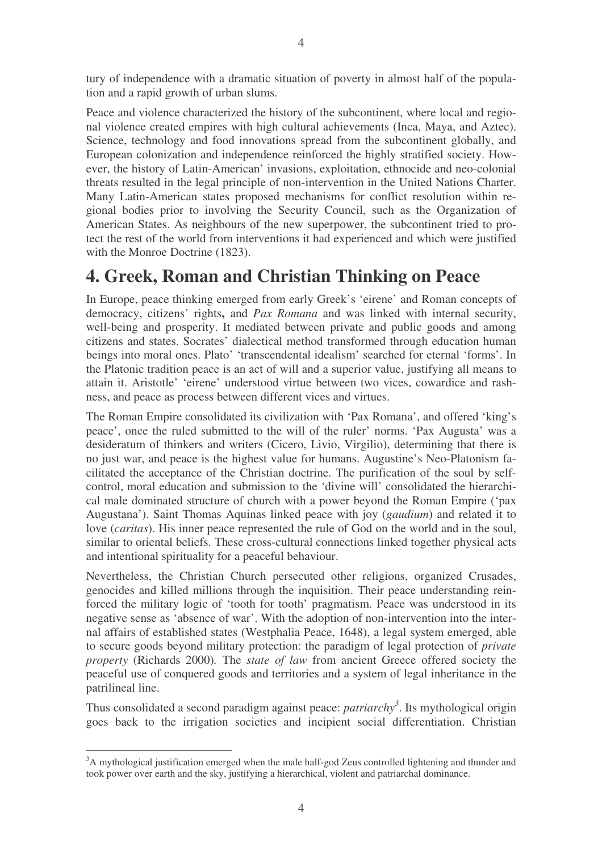tury of independence with a dramatic situation of poverty in almost half of the population and a rapid growth of urban slums.

Peace and violence characterized the history of the subcontinent, where local and regional violence created empires with high cultural achievements (Inca, Maya, and Aztec). Science, technology and food innovations spread from the subcontinent globally, and European colonization and independence reinforced the highly stratified society. However, the history of Latin-American' invasions, exploitation, ethnocide and neo-colonial threats resulted in the legal principle of non-intervention in the United Nations Charter. Many Latin-American states proposed mechanisms for conflict resolution within regional bodies prior to involving the Security Council, such as the Organization of American States. As neighbours of the new superpower, the subcontinent tried to protect the rest of the world from interventions it had experienced and which were justified with the Monroe Doctrine (1823).

## **4. Greek, Roman and Christian Thinking on Peace**

In Europe, peace thinking emerged from early Greek's 'eirene' and Roman concepts of democracy, citizens' rights**,** and *Pax Romana* and was linked with internal security, well-being and prosperity. It mediated between private and public goods and among citizens and states. Socrates' dialectical method transformed through education human beings into moral ones. Plato' 'transcendental idealism' searched for eternal 'forms'. In the Platonic tradition peace is an act of will and a superior value, justifying all means to attain it. Aristotle' 'eirene' understood virtue between two vices, cowardice and rashness, and peace as process between different vices and virtues.

The Roman Empire consolidated its civilization with 'Pax Romana', and offered 'king's peace', once the ruled submitted to the will of the ruler' norms. 'Pax Augusta' was a desideratum of thinkers and writers (Cicero, Livio, Virgilio), determining that there is no just war, and peace is the highest value for humans. Augustine's Neo-Platonism facilitated the acceptance of the Christian doctrine. The purification of the soul by selfcontrol, moral education and submission to the 'divine will' consolidated the hierarchical male dominated structure of church with a power beyond the Roman Empire ('pax Augustana'). Saint Thomas Aquinas linked peace with joy (*gaudium*) and related it to love (*caritas*). His inner peace represented the rule of God on the world and in the soul, similar to oriental beliefs. These cross-cultural connections linked together physical acts and intentional spirituality for a peaceful behaviour.

Nevertheless, the Christian Church persecuted other religions, organized Crusades, genocides and killed millions through the inquisition. Their peace understanding reinforced the military logic of 'tooth for tooth' pragmatism. Peace was understood in its negative sense as 'absence of war'. With the adoption of non-intervention into the internal affairs of established states (Westphalia Peace, 1648), a legal system emerged, able to secure goods beyond military protection: the paradigm of legal protection of *private property* (Richards 2000)*.* The *state of law* from ancient Greece offered society the peaceful use of conquered goods and territories and a system of legal inheritance in the patrilineal line.

Thus consolidated a second paradigm against peace: *patriarchy 3* . Its mythological origin goes back to the irrigation societies and incipient social differentiation. Christian

<sup>&</sup>lt;sup>3</sup>A mythological justification emerged when the male half-god Zeus controlled lightening and thunder and took power over earth and the sky, justifying a hierarchical, violent and patriarchal dominance.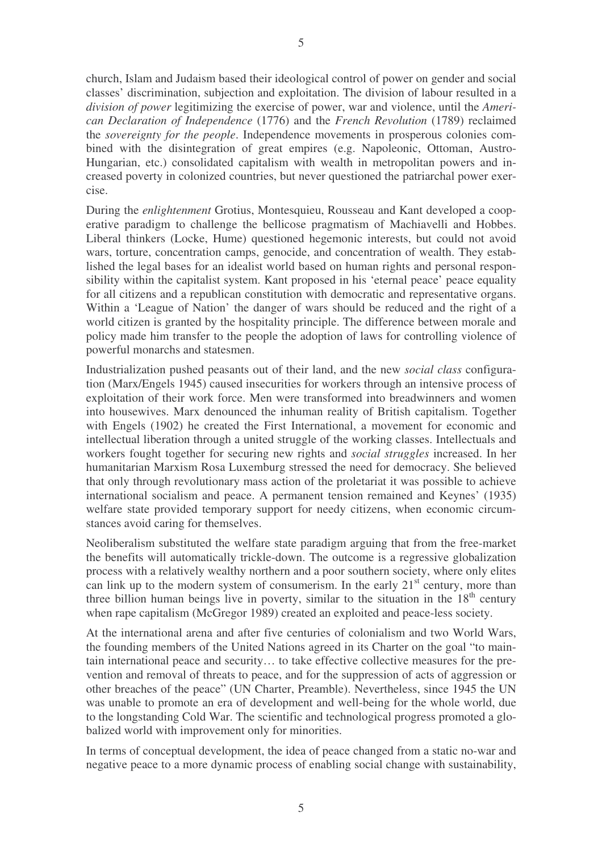church, Islam and Judaism based their ideological control of power on gender and social classes' discrimination, subjection and exploitation. The division of labour resulted in a *division of power* legitimizing the exercise of power, war and violence, until the *American Declaration of Independence* (1776) and the *French Revolution* (1789) reclaimed the *sovereignty for the people*. Independence movements in prosperous colonies combined with the disintegration of great empires (e.g. Napoleonic, Ottoman, Austro-Hungarian, etc.) consolidated capitalism with wealth in metropolitan powers and increased poverty in colonized countries, but never questioned the patriarchal power exercise.

During the *enlightenment* Grotius, Montesquieu, Rousseau and Kant developed a cooperative paradigm to challenge the bellicose pragmatism of Machiavelli and Hobbes. Liberal thinkers (Locke, Hume) questioned hegemonic interests, but could not avoid wars, torture, concentration camps, genocide, and concentration of wealth. They established the legal bases for an idealist world based on human rights and personal responsibility within the capitalist system. Kant proposed in his 'eternal peace' peace equality for all citizens and a republican constitution with democratic and representative organs. Within a 'League of Nation' the danger of wars should be reduced and the right of a world citizen is granted by the hospitality principle. The difference between morale and policy made him transfer to the people the adoption of laws for controlling violence of powerful monarchs and statesmen.

Industrialization pushed peasants out of their land, and the new *social class* configuration (Marx/Engels 1945) caused insecurities for workers through an intensive process of exploitation of their work force. Men were transformed into breadwinners and women into housewives. Marx denounced the inhuman reality of British capitalism. Together with Engels (1902) he created the First International, a movement for economic and intellectual liberation through a united struggle of the working classes. Intellectuals and workers fought together for securing new rights and *social struggles* increased. In her humanitarian Marxism Rosa Luxemburg stressed the need for democracy. She believed that only through revolutionary mass action of the proletariat it was possible to achieve international socialism and peace. A permanent tension remained and Keynes' (1935) welfare state provided temporary support for needy citizens, when economic circumstances avoid caring for themselves.

Neoliberalism substituted the welfare state paradigm arguing that from the free-market the benefits will automatically trickle-down. The outcome is a regressive globalization process with a relatively wealthy northern and a poor southern society, where only elites can link up to the modern system of consumerism. In the early  $21<sup>st</sup>$  century, more than three billion human beings live in poverty, similar to the situation in the  $18<sup>th</sup>$  century when rape capitalism (McGregor 1989) created an exploited and peace-less society.

At the international arena and after five centuries of colonialism and two World Wars, the founding members of the United Nations agreed in its Charter on the goal "to maintain international peace and security… to take effective collective measures for the prevention and removal of threats to peace, and for the suppression of acts of aggression or other breaches of the peace" (UN Charter, Preamble). Nevertheless, since 1945 the UN was unable to promote an era of development and well-being for the whole world, due to the longstanding Cold War. The scientific and technological progress promoted a globalized world with improvement only for minorities.

In terms of conceptual development, the idea of peace changed from a static no-war and negative peace to a more dynamic process of enabling social change with sustainability,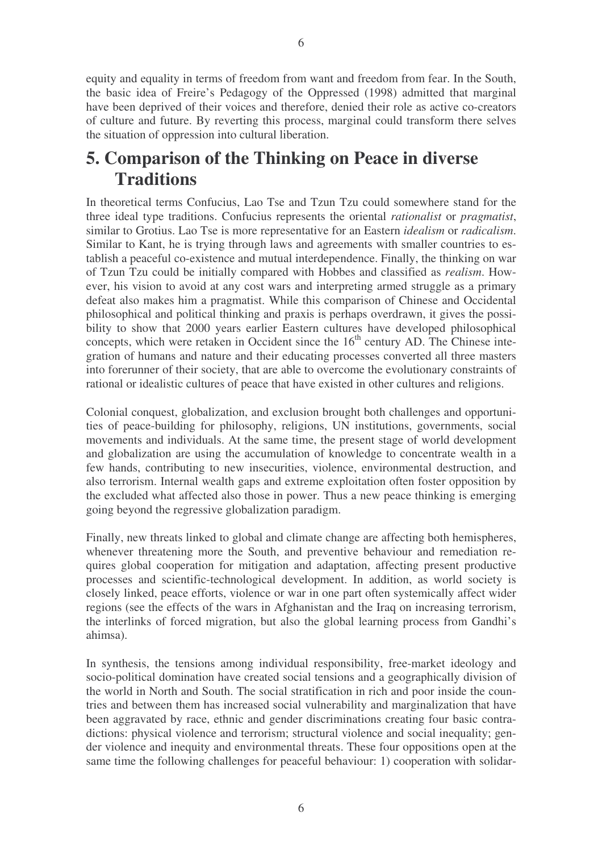equity and equality in terms of freedom from want and freedom from fear. In the South, the basic idea of Freire's Pedagogy of the Oppressed (1998) admitted that marginal have been deprived of their voices and therefore, denied their role as active co-creators of culture and future. By reverting this process, marginal could transform there selves the situation of oppression into cultural liberation.

## **5. Comparison of the Thinking on Peace in diverse Traditions**

In theoretical terms Confucius, Lao Tse and Tzun Tzu could somewhere stand for the three ideal type traditions. Confucius represents the oriental *rationalist* or *pragmatist*, similar to Grotius. Lao Tse is more representative for an Eastern *idealism* or *radicalism*. Similar to Kant, he is trying through laws and agreements with smaller countries to establish a peaceful co-existence and mutual interdependence. Finally, the thinking on war of Tzun Tzu could be initially compared with Hobbes and classified as *realism*. However, his vision to avoid at any cost wars and interpreting armed struggle as a primary defeat also makes him a pragmatist. While this comparison of Chinese and Occidental philosophical and political thinking and praxis is perhaps overdrawn, it gives the possibility to show that 2000 years earlier Eastern cultures have developed philosophical concepts, which were retaken in Occident since the  $16<sup>th</sup>$  century AD. The Chinese integration of humans and nature and their educating processes converted all three masters into forerunner of their society, that are able to overcome the evolutionary constraints of rational or idealistic cultures of peace that have existed in other cultures and religions.

Colonial conquest, globalization, and exclusion brought both challenges and opportunities of peace-building for philosophy, religions, UN institutions, governments, social movements and individuals. At the same time, the present stage of world development and globalization are using the accumulation of knowledge to concentrate wealth in a few hands, contributing to new insecurities, violence, environmental destruction, and also terrorism. Internal wealth gaps and extreme exploitation often foster opposition by the excluded what affected also those in power. Thus a new peace thinking is emerging going beyond the regressive globalization paradigm.

Finally, new threats linked to global and climate change are affecting both hemispheres, whenever threatening more the South, and preventive behaviour and remediation requires global cooperation for mitigation and adaptation, affecting present productive processes and scientific-technological development. In addition, as world society is closely linked, peace efforts, violence or war in one part often systemically affect wider regions (see the effects of the wars in Afghanistan and the Iraq on increasing terrorism, the interlinks of forced migration, but also the global learning process from Gandhi's ahimsa).

In synthesis, the tensions among individual responsibility, free-market ideology and socio-political domination have created social tensions and a geographically division of the world in North and South. The social stratification in rich and poor inside the countries and between them has increased social vulnerability and marginalization that have been aggravated by race, ethnic and gender discriminations creating four basic contradictions: physical violence and terrorism; structural violence and social inequality; gender violence and inequity and environmental threats. These four oppositions open at the same time the following challenges for peaceful behaviour: 1) cooperation with solidar